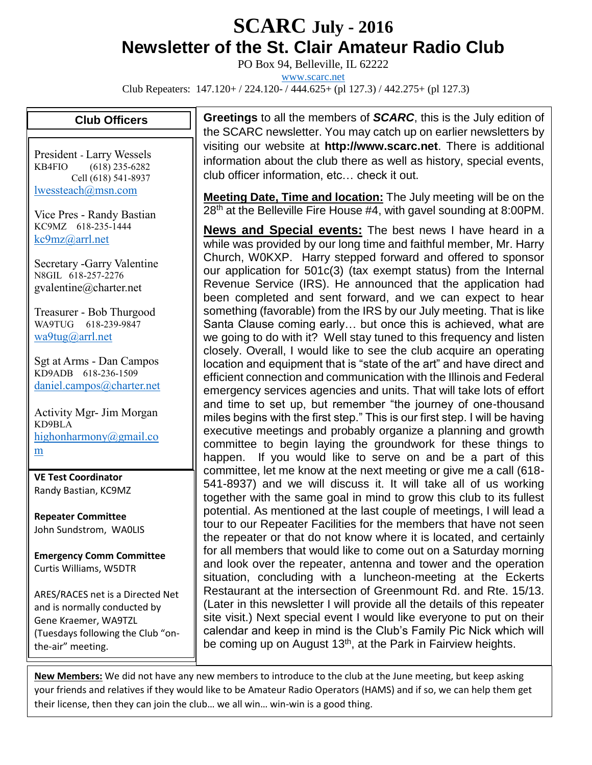## **SCARC July - <sup>2016</sup> Newsletter of the St. Clair Amateur Radio Club**

PO Box 94, Belleville, IL 62222

[www.scarc.net](http://www.scarc.net/)

Club Repeaters: 147.120+ / 224.120- / 444.625+ (pl 127.3) / 442.275+ (pl 127.3)

## **Club Officers**

President - Larry Wessels KB4FIO (618) 235-6282 Cell (618) 541-8937 [lwessteach@msn.com](mailto:lwessteach@msn.com)

Vice Pres - Randy Bastian KC9MZ 618-235-1444 [kc9mz@arrl.net](mailto:kc9mz@arrl.net)

Secretary -Garry Valentine N8GIL 618-257-2276 gvalentine@charter.net

Treasurer - Bob Thurgood WA9TUG 618-239-9847 [wa9tug@arrl.net](mailto:wa9tug@arrl.net)

Sgt at Arms - Dan Campos KD9ADB 618-236-1509 [daniel.campos@charter.net](mailto:daniel.campos@charter.net)

Activity Mgr- Jim Morgan KD9BLA [highonharmony@gmail.co](mailto:highonharmony@gmail.com) [m](mailto:highonharmony@gmail.com)

**VE Test Coordinator** Randy Bastian, KC9MZ

**Repeater Committee** John Sundstrom, WA0LIS

**Emergency Comm Committee** Curtis Williams, W5DTR

ARES/RACES net is a Directed Net and is normally conducted by Gene Kraemer, WA9TZL (Tuesdays following the Club "onthe-air" meeting.

**Greetings** to all the members of *SCARC*, this is the July edition of the SCARC newsletter. You may catch up on earlier newsletters by visiting our website at **http://www.scarc.net**. There is additional information about the club there as well as history, special events, club officer information, etc… check it out.

**Meeting Date, Time and location:** The July meeting will be on the 28<sup>th</sup> at the Belleville Fire House #4, with gavel sounding at 8:00PM.

**News and Special events:** The best news I have heard in a while was provided by our long time and faithful member, Mr. Harry Church, W0KXP. Harry stepped forward and offered to sponsor our application for 501c(3) (tax exempt status) from the Internal Revenue Service (IRS). He announced that the application had been completed and sent forward, and we can expect to hear something (favorable) from the IRS by our July meeting. That is like Santa Clause coming early… but once this is achieved, what are we going to do with it? Well stay tuned to this frequency and listen closely. Overall, I would like to see the club acquire an operating location and equipment that is "state of the art" and have direct and efficient connection and communication with the Illinois and Federal emergency services agencies and units. That will take lots of effort and time to set up, but remember "the journey of one-thousand miles begins with the first step." This is our first step. I will be having executive meetings and probably organize a planning and growth committee to begin laying the groundwork for these things to happen. If you would like to serve on and be a part of this committee, let me know at the next meeting or give me a call (618- 541-8937) and we will discuss it. It will take all of us working together with the same goal in mind to grow this club to its fullest potential. As mentioned at the last couple of meetings, I will lead a tour to our Repeater Facilities for the members that have not seen the repeater or that do not know where it is located, and certainly for all members that would like to come out on a Saturday morning and look over the repeater, antenna and tower and the operation situation, concluding with a luncheon-meeting at the Eckerts Restaurant at the intersection of Greenmount Rd. and Rte. 15/13. (Later in this newsletter I will provide all the details of this repeater site visit.) Next special event I would like everyone to put on their calendar and keep in mind is the Club's Family Pic Nick which will be coming up on August 13<sup>th</sup>, at the Park in Fairview heights.

**New Members:** We did not have any new members to introduce to the club at the June meeting, but keep asking your friends and relatives if they would like to be Amateur Radio Operators (HAMS) and if so, we can help them get their license, then they can join the club… we all win… win-win is a good thing.